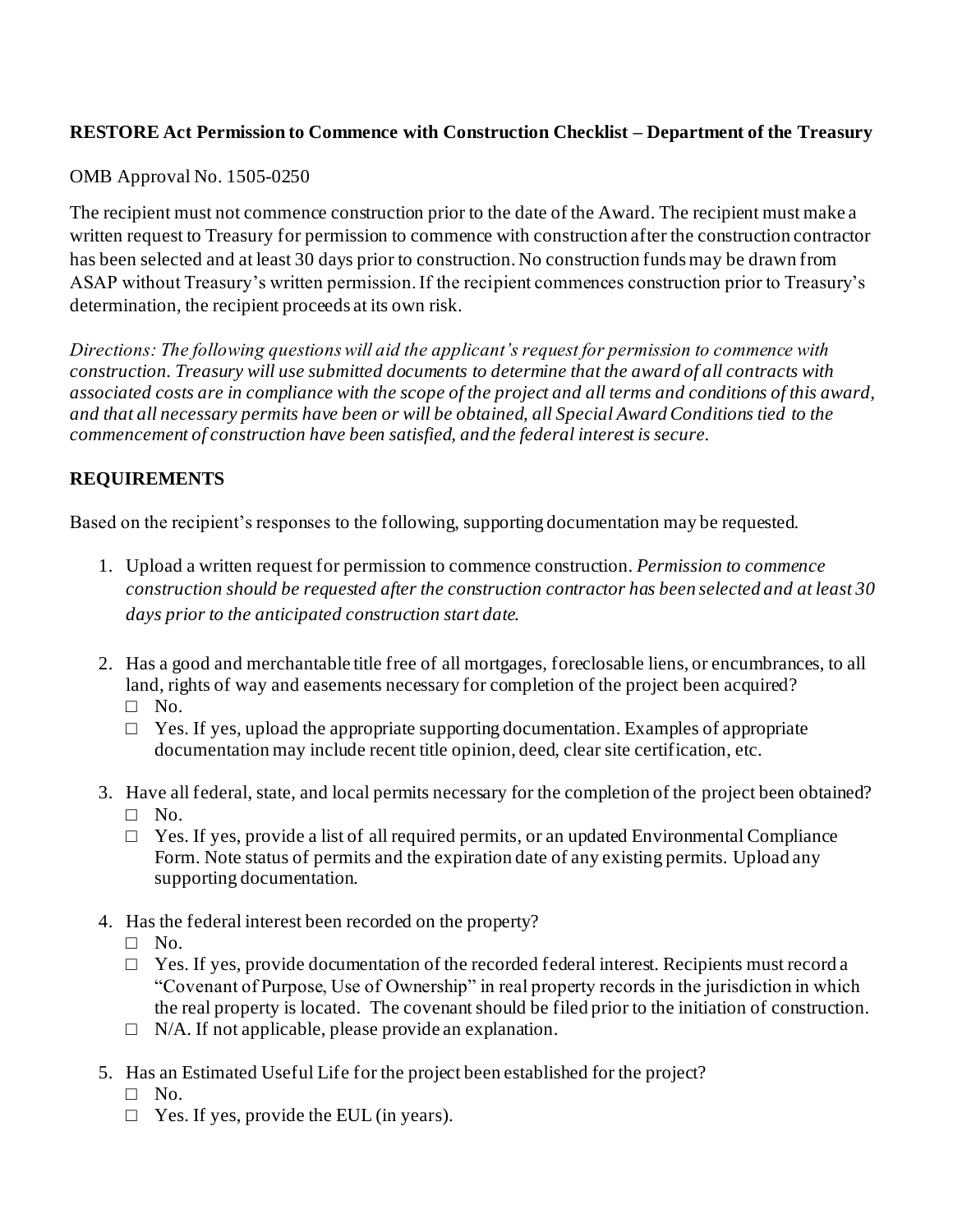## **RESTORE Act Permission to Commence with Construction Checklist – Department of the Treasury**

## OMB Approval No. 1505-0250

The recipient must not commence construction prior to the date of the Award. The recipient must make a written request to Treasury for permission to commence with construction after the construction contractor has been selected and at least 30 days prior to construction. No construction funds may be drawn from ASAP without Treasury's written permission. If the recipient commences construction prior to Treasury's determination, the recipient proceeds at its own risk.

*Directions: The following questions will aid the applicant's request for permission to commence with construction. Treasury will use submitted documents to determine that the award of all contracts with associated costs are in compliance with the scope of the project and all terms and conditions of this award, and that all necessary permits have been or will be obtained, all Special Award Conditions tied to the commencement of construction have been satisfied, and the federal interest is secure.*

## **REQUIREMENTS**

Based on the recipient's responses to the following, supporting documentation may be requested.

- 1. Upload a written request for permission to commence construction. *Permission to commence construction should be requested after the construction contractor has been selected and at least 30 days prior to the anticipated construction start date.*
- 2. Has a good and merchantable title free of all mortgages, foreclosable liens, or encumbrances, to all land, rights of way and easements necessary for completion of the project been acquired?  $\square$  No.
	- $\Box$  Yes. If yes, upload the appropriate supporting documentation. Examples of appropriate documentation may include recent title opinion, deed, clear site certification, etc.
- 3. Have all federal, state, and local permits necessary for the completion of the project been obtained?  $\square$  No.
	- $\Box$  Yes. If yes, provide a list of all required permits, or an updated Environmental Compliance Form. Note status of permits and the expiration date of any existing permits. Upload any supporting documentation.
- 4. Has the federal interest been recorded on the property?
	- □ No.
	- $\Box$  Yes. If yes, provide documentation of the recorded federal interest. Recipients must record a "Covenant of Purpose, Use of Ownership" in real property records in the jurisdiction in which the real property is located. The covenant should be filed prior to the initiation of construction.
	- $\Box$  N/A. If not applicable, please provide an explanation.
- 5. Has an Estimated Useful Life for the project been established for the project?
	- □ No.
	- $\Box$  Yes. If yes, provide the EUL (in years).